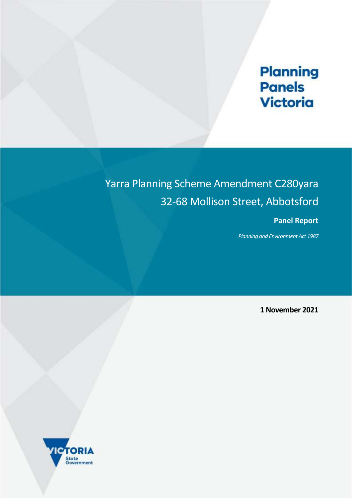# **Planning**<br>**Panels** Victoria

## Yarra Planning Scheme Amendment C280yara 32-68 Mollison Street, Abbotsford

## **Panel Report**

*Planning and Environment Act 1987*

**1 November 2021**

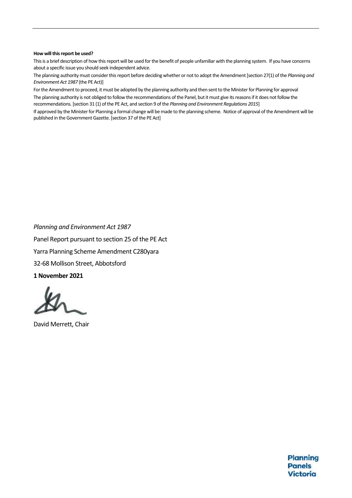#### **How will this report be used?**

This is a brief description of how this report will be used for the benefit of people unfamiliar with the planning system. If you have concerns about a specific issue you should seek independent advice.

The planning authority must consider this report before deciding whether or not to adopt the Amendment[section 27(1) of the *Planning and Environment Act 1987* (the PE Act)]

For the Amendment to proceed, it must be adopted by the planning authority and then sent to the Minister for Planning for approval The planning authority is not obliged to follow the recommendations of the Panel, but it must give its reasons if it does not follow the recommendations. [section 31 (1) of the PE Act, and section 9 of the *Planning and Environment Regulations 2015*]

If approved by the Minister for Planning a formal change will be made to the planning scheme. Notice of approval of the Amendment will be published in the Government Gazette. [section 37 of the PE Act]

*Planning and Environment Act 1987* Panel Report pursuant to section 25 of the PE Act Yarra Planning Scheme Amendment C280yara 32-68 Mollison Street, Abbotsford **1 November 2021**

David Merrett, Chair

Planning **Panels** Victoria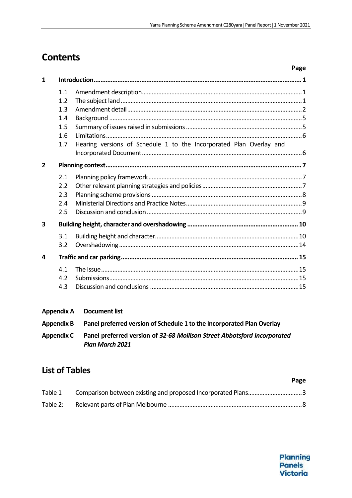## **Contents**

|                |     | Page                                                                |
|----------------|-----|---------------------------------------------------------------------|
| 1              |     |                                                                     |
|                | 1.1 |                                                                     |
|                | 1.2 |                                                                     |
|                | 1.3 |                                                                     |
|                | 1.4 |                                                                     |
|                | 1.5 |                                                                     |
|                | 1.6 |                                                                     |
|                | 1.7 | Hearing versions of Schedule 1 to the Incorporated Plan Overlay and |
|                |     |                                                                     |
| $\overline{2}$ |     |                                                                     |
|                | 2.1 |                                                                     |
|                | 2.2 |                                                                     |
|                | 2.3 |                                                                     |
|                | 2.4 |                                                                     |
|                | 2.5 |                                                                     |
| 3              |     |                                                                     |
|                | 3.1 |                                                                     |
|                | 3.2 |                                                                     |
| 4              |     |                                                                     |
|                | 4.1 |                                                                     |
|                | 4.2 |                                                                     |
|                | 4.3 |                                                                     |

#### **Appendix A** Document list

| <b>Appendix B</b> | Panel preferred version of Schedule 1 to the Incorporated Plan Overlay                             |
|-------------------|----------------------------------------------------------------------------------------------------|
| <b>Appendix C</b> | Panel preferred version of 32-68 Mollison Street Abbotsford Incorporated<br><b>Plan March 2021</b> |

## **List of Tables**

|          | Page |
|----------|------|
|          |      |
| Table 2: |      |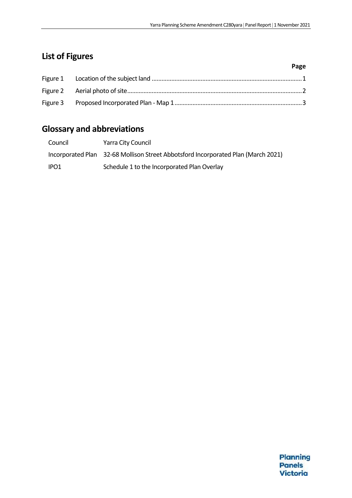## **List of Figures**

|  | Page |
|--|------|
|  |      |
|  |      |
|  |      |

## **Glossary and abbreviations**

| Council          | Yarra City Council                                                                |
|------------------|-----------------------------------------------------------------------------------|
|                  | Incorporated Plan 32-68 Mollison Street Abbotsford Incorporated Plan (March 2021) |
| IPO <sub>1</sub> | Schedule 1 to the Incorporated Plan Overlay                                       |

Planning **Panels Victoria**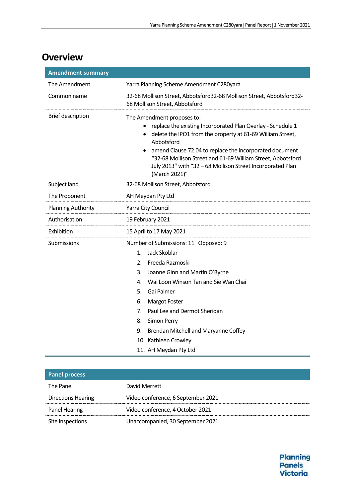## **Overview**

| <b>Amendment summary</b>  |                                                                                                                                                                                                                                                                                                                                                                                                   |
|---------------------------|---------------------------------------------------------------------------------------------------------------------------------------------------------------------------------------------------------------------------------------------------------------------------------------------------------------------------------------------------------------------------------------------------|
| The Amendment             | Yarra Planning Scheme Amendment C280yara                                                                                                                                                                                                                                                                                                                                                          |
| Common name               | 32-68 Mollison Street, Abbotsford32-68 Mollison Street, Abbotsford32-<br>68 Mollison Street, Abbotsford                                                                                                                                                                                                                                                                                           |
| <b>Brief description</b>  | The Amendment proposes to:<br>replace the existing Incorporated Plan Overlay - Schedule 1<br>delete the IPO1 from the property at 61-69 William Street,<br>Abbotsford<br>amend Clause 72.04 to replace the incorporated document<br>"32-68 Mollison Street and 61-69 William Street, Abbotsford<br>July 2013" with "32 - 68 Mollison Street Incorporated Plan<br>(March 2021)"                    |
| Subject land              | 32-68 Mollison Street, Abbotsford                                                                                                                                                                                                                                                                                                                                                                 |
| The Proponent             | AH Meydan Pty Ltd                                                                                                                                                                                                                                                                                                                                                                                 |
| <b>Planning Authority</b> | Yarra City Council                                                                                                                                                                                                                                                                                                                                                                                |
| Authorisation             | 19 February 2021                                                                                                                                                                                                                                                                                                                                                                                  |
| Exhibition                | 15 April to 17 May 2021                                                                                                                                                                                                                                                                                                                                                                           |
| Submissions               | Number of Submissions: 11 Opposed: 9<br>Jack Skoblar<br>$\mathbf{1}$ .<br>Freeda Razmoski<br>2.<br>3.<br>Joanne Ginn and Martin O'Byrne<br>Wai Loon Winson Tan and Sie Wan Chai<br>4.<br>5.<br>Gai Palmer<br>6.<br><b>Margot Foster</b><br>Paul Lee and Dermot Sheridan<br>7.<br>8.<br>Simon Perry<br>9.<br>Brendan Mitchell and Maryanne Coffey<br>10. Kathleen Crowley<br>11. AH Meydan Pty Ltd |

| <b>Panel process</b>      |                                    |
|---------------------------|------------------------------------|
| The Panel                 | David Merrett                      |
| <b>Directions Hearing</b> | Video conference, 6 September 2021 |
| Panel Hearing             | Video conference, 4 October 2021   |
| Site inspections          | Unaccompanied, 30 September 2021   |

Planning Panels **Victoria**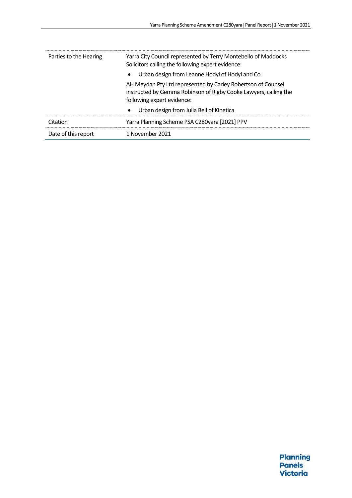| Parties to the Hearing | Yarra City Council represented by Terry Montebello of Maddocks<br>Solicitors calling the following expert evidence:                                            |  |  |
|------------------------|----------------------------------------------------------------------------------------------------------------------------------------------------------------|--|--|
|                        | Urban design from Leanne Hodyl of Hodyl and Co.<br>$\bullet$                                                                                                   |  |  |
|                        | AH Meydan Pty Ltd represented by Carley Robertson of Counsel<br>instructed by Gemma Robinson of Rigby Cooke Lawyers, calling the<br>following expert evidence: |  |  |
|                        | Urban design from Julia Bell of Kinetica<br>$\bullet$                                                                                                          |  |  |
| Citation               | Yarra Planning Scheme PSA C280yara [2021] PPV                                                                                                                  |  |  |
| Date of this report    | 1 November 2021                                                                                                                                                |  |  |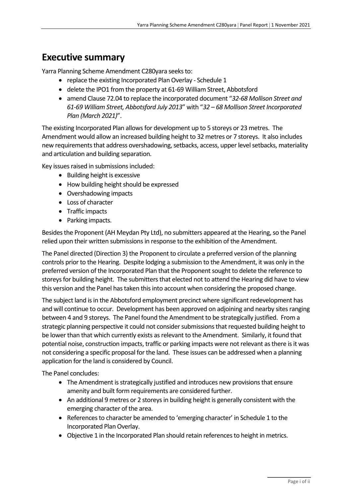## **Executive summary**

Yarra Planning Scheme Amendment C280yara seeks to:

- replace the existing Incorporated Plan Overlay Schedule 1
- delete the IPO1 from the property at 61-69 William Street, Abbotsford
- amend Clause 72.04 to replace the incorporated document "*32-68 Mollison Street and 61-69 William Street, Abbotsford July 2013*" with "*32 – 68 Mollison Street Incorporated Plan (March 2021)*".

The existing Incorporated Plan allows for development up to 5 storeys or 23 metres. The Amendment would allow an increased building height to 32 metres or 7 storeys. It also includes new requirements that address overshadowing, setbacks, access, upper level setbacks, materiality and articulation and building separation.

Key issues raised in submissions included:

- Building height is excessive
- How building height should be expressed
- Overshadowing impacts
- Loss of character
- Traffic impacts
- Parking impacts.

Besides the Proponent (AH Meydan Pty Ltd), no submitters appeared at the Hearing, so the Panel relied upon their written submissions in response to the exhibition of the Amendment.

The Panel directed (Direction 3) the Proponent to circulate a preferred version of the planning controls prior to the Hearing. Despite lodging a submission to the Amendment, it was only in the preferred version of the Incorporated Plan that the Proponent sought to delete the reference to storeys for building height. The submitters that elected not to attend the Hearing did have to view this version and the Panel has taken this into account when considering the proposed change.

The subject land is in the Abbotsford employment precinct where significant redevelopment has and will continue to occur. Development has been approved on adjoining and nearby sites ranging between 4 and 9 storeys. The Panel found the Amendment to be strategically justified. From a strategic planning perspective it could not consider submissions that requested building height to be lower than that which currently exists as relevant to the Amendment. Similarly, it found that potential noise, construction impacts, traffic or parking impacts were not relevant as there is it was not considering a specific proposal for the land. These issues can be addressed when a planning application for the land is considered by Council.

The Panel concludes:

- The Amendment is strategically justified and introduces new provisions that ensure amenity and built form requirements are considered further.
- An additional 9 metres or 2 storeys in building height is generally consistent with the emerging character of the area.
- References to character be amended to 'emerging character' in Schedule 1 to the Incorporated Plan Overlay.
- Objective 1 in the Incorporated Plan should retain references to height in metrics.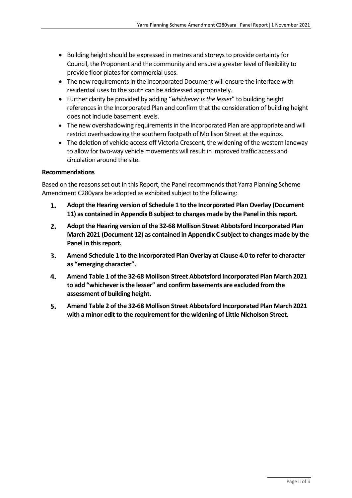- Building height should be expressed in metres and storeys to provide certainty for Council, the Proponent and the community and ensure a greater level of flexibility to provide floor plates for commercial uses.
- The new requirements in the Incorporated Document will ensure the interface with residential uses to the south can be addressed appropriately.
- Further clarity be provided by adding "*whichever is the lesser*" to building height references in the Incorporated Plan and confirm that the consideration of building height does not include basement levels.
- The new overshadowing requirements in the Incorporated Plan are appropriate and will restrict overhsadowing the southern footpath of Mollison Street at the equinox.
- The deletion of vehicle access off Victoria Crescent, the widening of the western laneway to allow for two-way vehicle movements will result in improved traffic access and circulation around the site.

#### **Recommendations**

Based on the reasons set out in this Report, the Panel recommends that Yarra Planning Scheme Amendment C280yara be adopted as exhibited subject to the following:

- **Adopt the Hearing version of Schedule 1 to the Incorporated Plan Overlay (Document**   $\mathbf{1}$ . **11) as contained in Appendix B subject to changes made by the Panel in this report.**
- **Adopt the Hearing version of the 32-68 Mollison Street Abbotsford Incorporated Plan**   $2.$ **March 2021 (Document 12) as contained in Appendix C subject to changes made by the Panel in this report.**
- **Amend Schedule 1 to the Incorporated Plan Overlay at Clause 4.0 to refer to character**  З. **as "emerging character".**
- 4. **Amend Table 1 of the 32-68 Mollison Street Abbotsford Incorporated Plan March 2021 to add "whichever is the lesser" and confirm basements are excluded from the assessment of building height.**
- 5. **Amend Table 2 of the 32-68 Mollison Street Abbotsford Incorporated Plan March 2021 with a minor edit to the requirement for the widening of Little Nicholson Street.**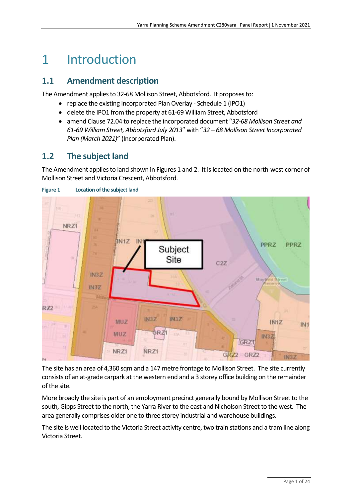## 1 Introduction

### **1.1 Amendment description**

The Amendment applies to 32-68 Mollison Street, Abbotsford. It proposes to:

- replace the existing Incorporated Plan Overlay Schedule 1 (IPO1)
- delete the IPO1 from the property at 61-69 William Street, Abbotsford
- amend Clause 72.04 to replace the incorporated document "*32-68 Mollison Street and 61-69 William Street, Abbotsford July 2013*" with "*32 – 68 Mollison Street Incorporated Plan (March 2021)*" (Incorporated Plan).

## **1.2 The subject land**

The Amendment applies to land shown in Figures 1 and 2. It is located on the north-west corner of Mollison Street and Victoria Crescent, Abbotsford.



<span id="page-8-0"></span>

The site has an area of 4,360 sqm and a 147 metre frontage to Mollison Street. The site currently consists of an at-grade carpark at the western end and a 3 storey office building on the remainder of the site.

More broadly the site is part of an employment precinct generally bound by Mollison Street to the south, Gipps Street to the north, the Yarra River to the east and Nicholson Street to the west. The area generally comprises older one to three storey industrial and warehouse buildings.

The site is well located to the Victoria Street activity centre, two train stations and a tram line along Victoria Street.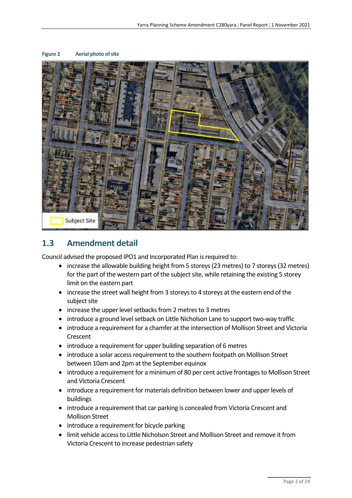

#### <span id="page-9-0"></span>**Figure 2 Aerial photo of site**

### **1.3 Amendment detail**

Council advised the proposed IPO1 and Incorporated Plan is required to:

- increase the allowable building height from 5 storeys (23 metres) to 7 storeys (32 metres) for the part of the western part of the subject site, while retaining the existing 5 storey limit on the eastern part
- increase the street wall height from 3 storeys to 4 storeys at the eastern end of the subject site
- increase the upper level setbacks from 2 metres to 3 metres
- introduce a ground level setback on Little Nicholson Lane to support two-way traffic
- introduce a requirement for a chamfer at the intersection of Mollison Street and Victoria **Crescent**
- introduce a requirement for upper building separation of 6 metres
- introduce a solar access requirement to the southern footpath on Mollison Street between 10am and 2pm at the September equinox
- introduce a requirement for a minimum of 80 per cent active frontages to Mollison Street and Victoria Crescent
- introduce a requirement for materials definition between lower and upper levels of buildings
- introduce a requirement that car parking is concealed from Victoria Crescent and Mollison Street
- introduce a requirement for bicycle parking
- limit vehicle access to Little Nicholson Street and Mollison Street and remove it from Victoria Crescent to increase pedestrian safety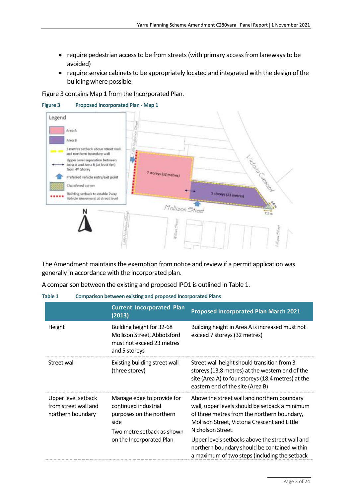- require pedestrian access to be from streets (with primary access from laneways to be avoided)
- require service cabinets to be appropriately located and integrated with the design of the building where possible.

Figure 3 contains Map 1 from the Incorporated Plan.



<span id="page-10-1"></span>**Figure 3 Proposed Incorporated Plan - Map 1**

The Amendment maintains the exemption from notice and review if a permit application was generally in accordance with the incorporated plan.

A comparison between the existing and proposed IPO1 is outlined in Table 1.

<span id="page-10-0"></span>

| Table 1 |  |  | Comparison between existing and proposed Incorporated Plans |
|---------|--|--|-------------------------------------------------------------|
|---------|--|--|-------------------------------------------------------------|

|                                                                  | <b>Current Incorporated Plan</b><br>(2013)                                                                                                       | <b>Proposed Incorporated Plan March 2021</b>                                                                                                                                                                                                                                                                                                                           |
|------------------------------------------------------------------|--------------------------------------------------------------------------------------------------------------------------------------------------|------------------------------------------------------------------------------------------------------------------------------------------------------------------------------------------------------------------------------------------------------------------------------------------------------------------------------------------------------------------------|
| Height                                                           | Building height for 32-68<br>Mollison Street, Abbotsford<br>must not exceed 23 metres<br>and 5 storeys                                           | Building height in Area A is increased must not<br>exceed 7 storeys (32 metres)                                                                                                                                                                                                                                                                                        |
| Street wall                                                      | Existing building street wall<br>(three storey)                                                                                                  | Street wall height should transition from 3<br>storeys (13.8 metres) at the western end of the<br>site (Area A) to four storeys (18.4 metres) at the<br>eastern end of the site (Area B)                                                                                                                                                                               |
| Upper level setback<br>from street wall and<br>northern boundary | Manage edge to provide for<br>continued industrial<br>purposes on the northern<br>side<br>Two metre setback as shown<br>on the Incorporated Plan | Above the street wall and northern boundary<br>wall, upper levels should be setback a minimum<br>of three metres from the northern boundary,<br>Mollison Street, Victoria Crescent and Little<br>Nicholson Street.<br>Upper levels setbacks above the street wall and<br>northern boundary should be contained within<br>a maximum of two steps (including the setback |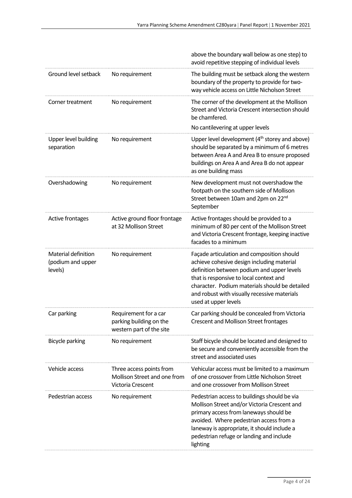|                                                     |                                                                                      | above the boundary wall below as one step) to<br>avoid repetitive stepping of individual levels                                                                                                                                                                                                             |
|-----------------------------------------------------|--------------------------------------------------------------------------------------|-------------------------------------------------------------------------------------------------------------------------------------------------------------------------------------------------------------------------------------------------------------------------------------------------------------|
| Ground level setback                                | No requirement                                                                       | The building must be setback along the western<br>boundary of the property to provide for two-<br>way vehicle access on Little Nicholson Street                                                                                                                                                             |
| Corner treatment                                    | No requirement                                                                       | The corner of the development at the Mollison<br>Street and Victoria Crescent intersection should<br>be chamfered.<br>No cantilevering at upper levels                                                                                                                                                      |
| Upper level building<br>separation                  | No requirement                                                                       | Upper level development (4 <sup>th</sup> storey and above)<br>should be separated by a minimum of 6 metres<br>between Area A and Area B to ensure proposed<br>buildings on Area A and Area B do not appear<br>as one building mass                                                                          |
| Overshadowing                                       | No requirement                                                                       | New development must not overshadow the<br>footpath on the southern side of Mollison<br>Street between 10am and 2pm on 22 <sup>nd</sup><br>September                                                                                                                                                        |
| Active frontages                                    | Active ground floor frontage<br>at 32 Mollison Street                                | Active frontages should be provided to a<br>minimum of 80 per cent of the Mollison Street<br>and Victoria Crescent frontage, keeping inactive<br>facades to a minimum                                                                                                                                       |
| Material definition<br>(podium and upper<br>levels) | No requirement                                                                       | Façade articulation and composition should<br>achieve cohesive design including material<br>definition between podium and upper levels<br>that is responsive to local context and<br>character. Podium materials should be detailed<br>and robust with visually recessive materials<br>used at upper levels |
| Car parking                                         | Requirement for a car<br>parking building on the<br>western part of the site         | Car parking should be concealed from Victoria<br><b>Crescent and Mollison Street frontages</b>                                                                                                                                                                                                              |
| <b>Bicycle parking</b>                              | No requirement                                                                       | Staff bicycle should be located and designed to<br>be secure and conveniently accessible from the<br>street and associated uses                                                                                                                                                                             |
| Vehicle access                                      | Three access points from<br>Mollison Street and one from<br><b>Victoria Crescent</b> | Vehicular access must be limited to a maximum<br>of one crossover from Little Nicholson Street<br>and one crossover from Mollison Street                                                                                                                                                                    |
| Pedestrian access                                   | No requirement                                                                       | Pedestrian access to buildings should be via<br>Mollison Street and/or Victoria Crescent and<br>primary access from laneways should be<br>avoided. Where pedestrian access from a<br>laneway is appropriate, it should include a<br>pedestrian refuge or landing and include<br>lighting                    |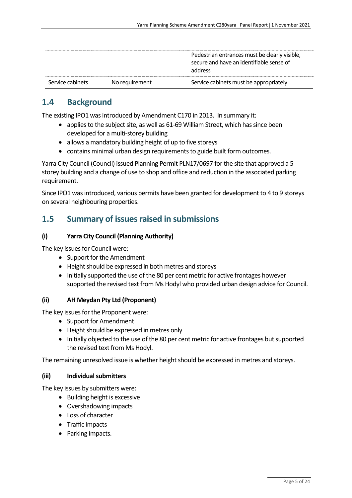|                  |                | Pedestrian entrances must be clearly visible,<br>secure and have an identifiable sense of<br>address |
|------------------|----------------|------------------------------------------------------------------------------------------------------|
| Service cabinets | No requirement | Service cabinets must be appropriately                                                               |

## **1.4 Background**

The existing IPO1 was introduced by Amendment C170 in 2013. In summary it:

- applies to the subject site, as well as 61-69 William Street, which has since been developed for a multi-storey building
- allows a mandatory building height of up to five storeys
- contains minimal urban design requirements to guide built form outcomes.

Yarra City Council (Council) issued Planning Permit PLN17/0697 for the site that approved a 5 storey building and a change of use to shop and office and reduction in the associated parking requirement.

Since IPO1 was introduced, various permits have been granted for development to 4 to 9 storeys on several neighbouring properties.

### **1.5** Summary of issues raised in submissions

#### **(i) Yarra City Council (Planning Authority)**

The key issues for Council were:

- Support for the Amendment
- Height should be expressed in both metres and storeys
- Initially supported the use of the 80 per cent metric for active frontages however supported the revised text from Ms Hodyl who provided urban design advice for Council.

#### **(ii) AH Meydan Pty Ltd (Proponent)**

The key issues for the Proponent were:

- Support for Amendment
- Height should be expressed in metres only
- Initially objected to the use of the 80 per cent metric for active frontages but supported the revised text from Ms Hodyl.

The remaining unresolved issue is whether height should be expressed in metres and storeys.

#### **(iii) Individual submitters**

The key issues by submitters were:

- Building height is excessive
- Overshadowing impacts
- Loss of character
- Traffic impacts
- Parking impacts.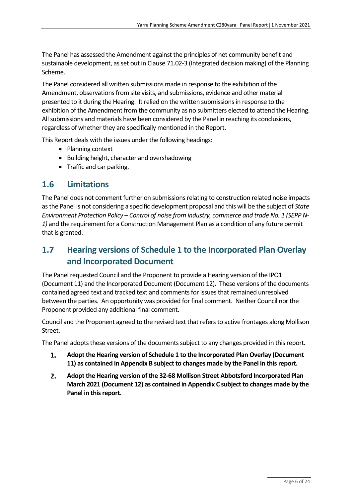The Panel has assessed the Amendment against the principles of net community benefit and sustainable development, as set out in Clause 71.02-3 (Integrated decision making) of the Planning Scheme.

The Panel considered all written submissions made in response to the exhibition of the Amendment, observations from site visits, and submissions, evidence and other material presented to it during the Hearing. It relied on the written submissions in response to the exhibition of the Amendment from the community as no submitters elected to attend the Hearing. All submissions and materials have been considered by the Panel in reaching its conclusions, regardless of whether they are specifically mentioned in the Report.

This Report deals with the issues under the following headings:

- Planning context
- Building height, character and overshadowing
- Traffic and car parking.

### **1.6 Limitations**

The Panel does not comment further on submissions relating to construction related noise impacts as the Panel is not considering a specific development proposal and this will be the subject of *State Environment Protection Policy – Control of noise from industry, commerce and trade No. 1 (SEPP N-1)* and the requirement for a Construction Management Plan as a condition of any future permit that is granted.

## **1.7 Hearing versions of Schedule 1 to the Incorporated Plan Overlay and Incorporated Document**

The Panel requested Council and the Proponent to provide a Hearing version of the IPO1 (Document 11) and the Incorporated Document (Document 12). These versions of the documents contained agreed text and tracked text and comments for issues that remained unresolved between the parties. An opportunity was provided for final comment. Neither Council nor the Proponent provided any additional final comment.

Council and the Proponent agreed to the revised text that refers to active frontages along Mollison Street.

The Panel adopts these versions of the documents subject to any changes provided in this report.

- 1. **Adopt the Hearing version of Schedule 1 to the Incorporated Plan Overlay (Document 11) as contained in Appendix B subject to changes made by the Panel in this report.**
- **Adopt the Hearing version of the 32-68 Mollison Street Abbotsford Incorporated Plan**  2. **March 2021 (Document 12) as contained in Appendix C subject to changes made by the Panel in this report.**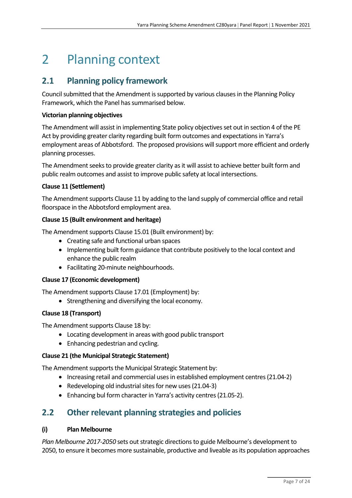## 2 Planning context

## **2.1 Planning policy framework**

Council submitted that the Amendment is supported by various clauses in the Planning Policy Framework, which the Panel has summarised below.

#### **Victorian planning objectives**

The Amendment will assist in implementing State policy objectives set out in section 4 of the PE Act by providing greater clarity regarding built form outcomes and expectations in Yarra's employment areas of Abbotsford. The proposed provisions will support more efficient and orderly planning processes.

The Amendment seeks to provide greater clarity as it will assist to achieve better built form and public realm outcomes and assist to improve public safety at local intersections.

#### **Clause 11 (Settlement)**

The Amendment supports Clause 11 by adding to the land supply of commercial office and retail floorspace in the Abbotsford employment area.

#### **Clause 15 (Built environment and heritage)**

The Amendment supports Clause 15.01 (Built environment) by:

- Creating safe and functional urban spaces
- Implementing built form guidance that contribute positively to the local context and enhance the public realm
- Facilitating 20-minute neighbourhoods.

#### **Clause 17 (Economic development)**

The Amendment supports Clause 17.01 (Employment) by:

• Strengthening and diversifying the local economy.

#### **Clause 18 (Transport)**

The Amendment supports Clause 18 by:

- Locating development in areas with good public transport
- Enhancing pedestrian and cycling.

#### **Clause 21 (the Municipal Strategic Statement)**

The Amendment supports the Municipal Strategic Statement by:

- Increasing retail and commercial uses in established employment centres(21.04-2)
- Redeveloping old industrial sites for new uses (21.04-3)
- Enhancing bul form character in Yarra's activity centres (21.05-2).

### **2.2 Other relevant planning strategies and policies**

#### **(i) Plan Melbourne**

*Plan Melbourne 2017-2050* sets out strategic directions to guide Melbourne's development to 2050, to ensure it becomes more sustainable, productive and liveable as its population approaches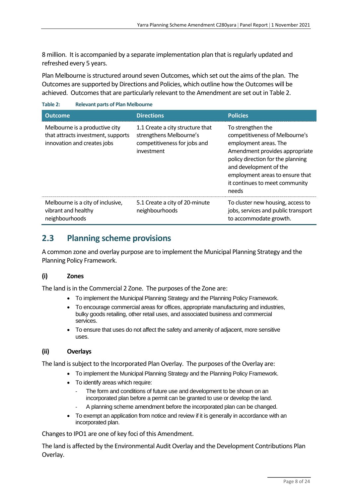8 million. It is accompanied by a separate implementation plan that is regularly updated and refreshed every 5 years.

Plan Melbourne is structured around seven Outcomes, which set out the aims of the plan. The Outcomes are supported by Directions and Policies, which outline how the Outcomes will be achieved. Outcomes that are particularly relevant to the Amendment are set out in [Table 2.](#page-15-0)

<span id="page-15-0"></span>**Table 2: Relevant parts of Plan Melbourne**

| <b>Outcome</b>                                                                                      | <b>Directions</b>                                                                                         | <b>Policies</b>                                                                                                                                                                                                                                             |
|-----------------------------------------------------------------------------------------------------|-----------------------------------------------------------------------------------------------------------|-------------------------------------------------------------------------------------------------------------------------------------------------------------------------------------------------------------------------------------------------------------|
| Melbourne is a productive city<br>that attracts investment, supports<br>innovation and creates jobs | 1.1 Create a city structure that<br>strengthens Melbourne's<br>competitiveness for jobs and<br>investment | To strengthen the<br>competitiveness of Melbourne's<br>employment areas. The<br>Amendment provides appropriate<br>policy direction for the planning<br>and development of the<br>employment areas to ensure that<br>it continues to meet community<br>needs |
| Melbourne is a city of inclusive,<br>vibrant and healthy<br>neighbourhoods                          | 5.1 Create a city of 20-minute<br>neighbourhoods                                                          | To cluster new housing, access to<br>jobs, services and public transport<br>to accommodate growth.                                                                                                                                                          |

## **2.3 Planning scheme provisions**

A common zone and overlay purpose are to implement the Municipal Planning Strategy and the Planning Policy Framework.

#### **(i) Zones**

The land is in the Commercial 2 Zone. The purposes of the Zone are:

- To implement the Municipal Planning Strategy and the Planning Policy Framework.
- To encourage commercial areas for offices, appropriate manufacturing and industries, bulky goods retailing, other retail uses, and associated business and commercial services.
- To ensure that uses do not affect the safety and amenity of adjacent, more sensitive uses.

#### **(ii) Overlays**

The land is subject to the Incorporated Plan Overlay. The purposes of the Overlay are:

- To implement the Municipal Planning Strategy and the Planning Policy Framework.
- To identify areas which require:
	- The form and conditions of future use and development to be shown on an incorporated plan before a permit can be granted to use or develop the land.
	- A planning scheme amendment before the incorporated plan can be changed.
- To exempt an application from notice and review if it is generally in accordance with an incorporated plan.

Changes to IPO1 are one of key foci of this Amendment.

The land is affected by the Environmental Audit Overlay and the Development Contributions Plan Overlay.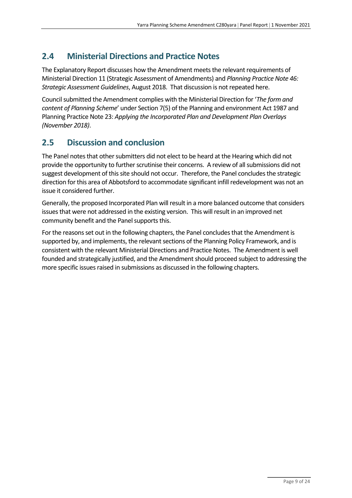## **2.4 Ministerial Directions and Practice Notes**

The Explanatory Report discusses how the Amendment meets the relevant requirements of Ministerial Direction 11 (Strategic Assessment of Amendments) and *Planning Practice Note 46: Strategic Assessment Guidelines*, August 2018. That discussion is not repeated here.

Council submitted the Amendment complies with the Ministerial Direction for '*The form and content of Planning Scheme*' under Section 7(5) of the Planning and environment Act 1987 and Planning Practice Note 23: *Applying the Incorporated Plan and Development Plan Overlays (November 2018)*.

## **2.5 Discussion and conclusion**

The Panel notes that other submitters did not elect to be heard at the Hearing which did not provide the opportunity to further scrutinise their concerns. A review of all submissions did not suggest development of this site should not occur. Therefore, the Panel concludes the strategic direction for this area of Abbotsford to accommodate significant infill redevelopment was not an issue it considered further.

Generally, the proposed Incorporated Plan will result in a more balanced outcome that considers issues that were not addressed in the existing version. This will result in an improved net community benefit and the Panel supports this.

For the reasons set out in the following chapters, the Panel concludes that the Amendment is supported by, and implements, the relevant sections of the Planning Policy Framework, and is consistent with the relevant Ministerial Directions and Practice Notes. The Amendment is well founded and strategically justified, and the Amendment should proceed subject to addressing the more specific issues raised in submissions as discussed in the following chapters.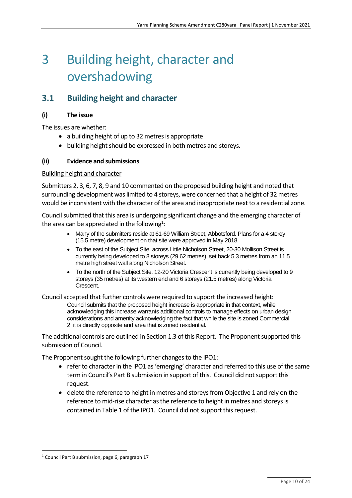## 3 Building height, character and overshadowing

## **3.1 Building height and character**

#### **(i) The issue**

The issues are whether:

- a building height of up to 32 metres is appropriate
- building height should be expressed in both metres and storeys.

#### **(ii) Evidence and submissions**

#### Building height and character

Submitters 2, 3, 6, 7, 8, 9 and 10 commented on the proposed building height and noted that surrounding development was limited to 4 storeys, were concerned that a height of 32 metres would be inconsistent with the character of the area and inappropriate next to a residential zone.

Council submitted that this area is undergoing significant change and the emerging character of the area can be appreciated in the following $^{1}$ :

- Many of the submitters reside at 61-69 William Street, Abbotsford. Plans for a 4 storey (15.5 metre) development on that site were approved in May 2018.
- To the east of the Subject Site, across Little Nicholson Street, 20-30 Mollison Street is currently being developed to 8 storeys (29.62 metres), set back 5.3 metres from an 11.5 metre high street wall along Nicholson Street.
- To the north of the Subject Site, 12-20 Victoria Crescent is currently being developed to 9 storeys (35 metres) at its western end and 6 storeys (21.5 metres) along Victoria Crescent.

Council accepted that further controls were required to support the increased height: Council submits that the proposed height increase is appropriate in that context, while acknowledging this increase warrants additional controls to manage effects on urban design considerations and amenity acknowledging the fact that while the site is zoned Commercial 2, it is directly opposite and area that is zoned residential.

The additional controls are outlined in Section 1.3 of this Report. The Proponent supported this submission of Council.

The Proponent sought the following further changes to the IPO1:

- refer to character in the IPO1 as 'emerging' character and referred to this use of the same term in Council's Part B submission in support of this. Council did not support this request.
- delete the reference to height in metres and storeys from Objective 1 and rely on the reference to mid-rise character as the reference to height in metres and storeys is contained in Table 1 of the IPO1. Council did not support this request.

<sup>&</sup>lt;sup>1</sup> Council Part B submission, page 6, paragraph 17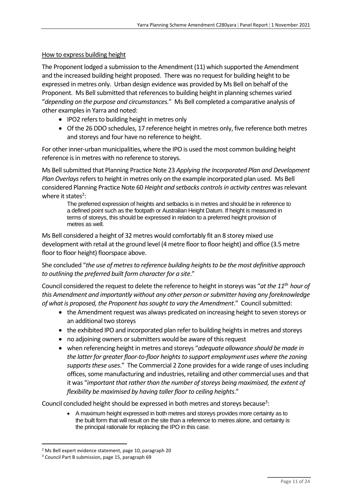#### How to express building height

The Proponent lodged a submission to the Amendment (11) which supported the Amendment and the increased building height proposed. There was no request for building height to be expressed in metres only. Urban design evidence was provided by Ms Bell on behalf of the Proponent. Ms Bell submitted that references to building height in planning schemes varied "*depending on the purpose and circumstances.*" Ms Bell completed a comparative analysis of other examples in Yarra and noted:

- IPO2 refers to building height in metres only
- Of the 26 DDO schedules, 17 reference height in metres only, five reference both metres and storeys and four have no reference to height.

For other inner-urban municipalities, where the IPO is used the most common building height reference is in metres with no reference to storeys.

Ms Bell submitted that Planning Practice Note 23 *Applying the Incorporated Plan and Development Plan Overlays*refers to height in metres only on the example incorporated plan used. Ms Bell considered Planning Practice Note 60 *Height and setbacks controls in activity centres* was relevant where it states<sup>2</sup>:

The preferred expression of heights and setbacks is in metres and should be in reference to a defined point such as the footpath or Australian Height Datum. If height is measured in terms of storeys, this should be expressed in relation to a preferred height provision of metres as well.

Ms Bell considered a height of 32 metres would comfortably fit an 8 storey mixed use development with retail at the ground level (4 metre floor to floor height) and office (3.5 metre floor to floor height) floorspace above.

She concluded "*the use of metres to reference building heights to be the most definitive approach to outlining the preferred built form character for a site*."

Council considered the request to delete the reference to height in storeys was "*at the 11th hour of this Amendment and importantly without any other person or submitter having any foreknowledge of what is proposed, the Proponent has sought to vary the Amendment*." Council submitted:

- the Amendment request was always predicated on increasing height to seven storeys or an additional two storeys
- the exhibited IPO and incorporated plan refer to building heights in metres and storeys
- no adjoining owners or submitters would be aware of this request
- when referencing height in metres and storeys "*adequate allowance should be made in the latter for greater floor-to-floor heights to support employment uses where the zoning supports these uses*." The Commercial 2 Zone provides for a wide range of usesincluding offices, some manufacturing and industries, retailing and other commercial uses and that it was "*important that rather than the number of storeys being maximised, the extent of flexibility be maximised by having taller floor to ceiling heights*."

Council concluded height should be expressed in both metres and storeys because<sup>3</sup>:

• A maximum height expressed in both metres and storeys provides more certainty as to the built form that will result on the site than a reference to metres alone, and certainty is the principal rationale for replacing the IPO in this case.

<sup>2</sup> Ms Bell expert evidence statement, page 10, paragraph 20

<sup>3</sup> Council Part B submission, page 15, paragraph 69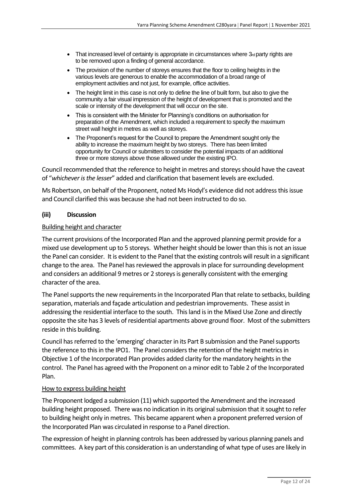- That increased level of certainty is appropriate in circumstances where  $3<sub>rd</sub>$  party rights are to be removed upon a finding of general accordance.
- The provision of the number of storeys ensures that the floor to ceiling heights in the various levels are generous to enable the accommodation of a broad range of employment activities and not just, for example, office activities.
- The height limit in this case is not only to define the line of built form, but also to give the community a fair visual impression of the height of development that is promoted and the scale or intensity of the development that will occur on the site.
- This is consistent with the Minister for Planning's conditions on authorisation for preparation of the Amendment, which included a requirement to specify the maximum street wall height in metres as well as storeys.
- The Proponent's request for the Council to prepare the Amendment sought only the ability to increase the maximum height by two storeys. There has been limited opportunity for Council or submitters to consider the potential impacts of an additional three or more storeys above those allowed under the existing IPO.

Council recommended that the reference to height in metres and storeys should have the caveat of "*whichever is the lesser*" added and clarification that basement levels are excluded.

Ms Robertson, on behalf of the Proponent, noted Ms Hodyl's evidence did not address this issue and Council clarified this was because she had not been instructed to do so.

#### **(iii) Discussion**

#### Building height and character

The current provisions of the Incorporated Plan and the approved planning permit provide for a mixed use development up to 5 storeys. Whether height should be lower than this is not an issue the Panel can consider. It is evident to the Panel that the existing controls will result in a significant change to the area. The Panel has reviewed the approvals in place for surrounding development and considers an additional 9 metres or 2 storeysis generally consistent with the emerging character of the area.

The Panel supports the new requirements in the Incorporated Plan that relate to setbacks, building separation, materials and façade articulation and pedestrian improvements. These assist in addressing the residential interface to the south. This land is in the Mixed Use Zone and directly opposite the site has 3 levels of residential apartments above ground floor. Most of the submitters reside in this building.

Council has referred to the 'emerging' character in its Part B submission and the Panel supports the reference to this in the IPO1. The Panel considers the retention of the height metrics in Objective 1 of the Incorporated Plan provides added clarity for the mandatory heights in the control. The Panel has agreed with the Proponent on a minor edit to Table 2 of the Incorporated Plan.

#### How to express building height

The Proponent lodged a submission (11) which supported the Amendment and the increased building height proposed. There was no indication in its original submission that it sought to refer to building height only in metres. This became apparent when a proponent preferred version of the Incorporated Plan was circulated in response to a Panel direction.

The expression of height in planning controls has been addressed by various planning panels and committees. A key part of this consideration is an understanding of what type of uses are likely in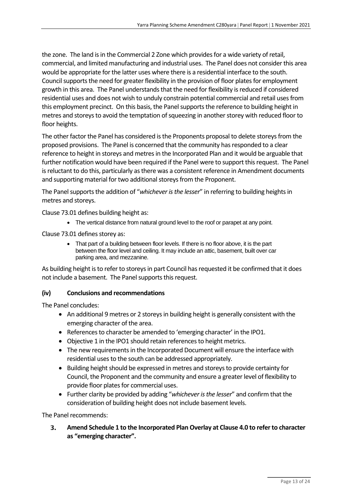the zone. The land is in the Commercial 2 Zone which provides for a wide variety of retail, commercial, and limited manufacturing and industrial uses. The Panel does not consider this area would be appropriate for the latter uses where there is a residential interface to the south. Council supports the need for greater flexibility in the provision of floor plates for employment growth in this area. The Panel understands that the need for flexibility is reduced if considered residential uses and does not wish to unduly constrain potential commercial and retail uses from this employment precinct. On this basis, the Panel supports the reference to building height in metres and storeys to avoid the temptation of squeezing in another storey with reduced floor to floor heights.

The other factor the Panel has considered is the Proponents proposal to delete storeys from the proposed provisions. The Panel is concerned that the community has responded to a clear reference to height in storeys and metres in the Incorporated Plan and it would be arguable that further notification would have been required if the Panel were to support this request. The Panel is reluctant to do this, particularly as there was a consistent reference in Amendment documents and supporting material for two additional storeys from the Proponent.

The Panel supports the addition of "*whichever is the lesser*" in referring to building heights in metres and storeys.

Clause 73.01 defines building height as:

• The vertical distance from natural ground level to the roof or parapet at any point.

Clause 73.01 defines storey as:

• That part of a building between floor levels. If there is no floor above, it is the part between the floor level and ceiling. It may include an attic, basement, built over car parking area, and mezzanine.

As building height is to refer to storeys in part Council has requested it be confirmed that it does not include a basement. The Panel supports this request.

#### **(iv) Conclusions and recommendations**

The Panel concludes:

- An additional 9 metres or 2 storeys in building height is generally consistent with the emerging character of the area.
- References to character be amended to 'emerging character' in the IPO1.
- Objective 1 in the IPO1 should retain references to height metrics.
- The new requirements in the Incorporated Document will ensure the interface with residential uses to the south can be addressed appropriately.
- Building height should be expressed in metres and storeysto provide certainty for Council, the Proponent and the community and ensure a greater level of flexibility to provide floor plates for commercial uses.
- Further clarity be provided by adding "*whichever is the lesser*" and confirm that the consideration of building height does not include basement levels.

The Panel recommends:

3. **Amend Schedule 1 to the Incorporated Plan Overlay at Clause 4.0 to refer to character as "emerging character".**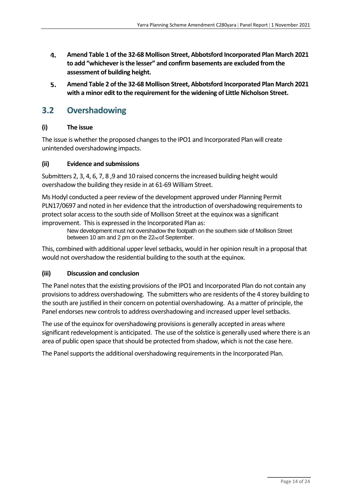- 4. **Amend Table 1 of the 32-68 Mollison Street, Abbotsford Incorporated Plan March 2021 to add "whichever is the lesser" and confirm basements are excluded from the assessment of building height.**
- 5. **Amend Table 2 of the 32-68 Mollison Street, Abbotsford Incorporated Plan March 2021 with a minor edit to the requirement for the widening of Little Nicholson Street.**

### **3.2 Overshadowing**

#### **(i) The issue**

The issue is whether the proposed changes to the IPO1 and Incorporated Plan will create unintended overshadowing impacts.

#### **(ii) Evidence and submissions**

Submitters 2, 3, 4, 6, 7, 8 ,9 and 10 raised concerns the increased building height would overshadow the building they reside in at 61-69 William Street.

Ms Hodyl conducted a peer review of the development approved under Planning Permit PLN17/0697 and noted in her evidence that the introduction of overshadowing requirements to protect solar access to the south side of Mollison Street at the equinox was a significant improvement. This is expressed in the Incorporated Plan as:

New development must not overshadow the footpath on the southern side of Mollison Street between 10 am and 2 pm on the 22<sub>nd</sub> of September.

This, combined with additional upper level setbacks, would in her opinion result in a proposal that would not overshadow the residential building to the south at the equinox.

#### **(iii) Discussion and conclusion**

The Panel notes that the existing provisions of the IPO1 and Incorporated Plan do not contain any provisions to address overshadowing. The submitters who are residents of the 4 storey building to the south are justified in their concern on potential overshadowing. As a matter of principle, the Panel endorses new controls to address overshadowing and increased upper level setbacks.

The use of the equinox for overshadowing provisions is generally accepted in areas where significant redevelopment is anticipated. The use of the solstice is generally used where there is an area of public open space that should be protected from shadow, which is not the case here.

The Panel supports the additional overshadowing requirements in the Incorporated Plan.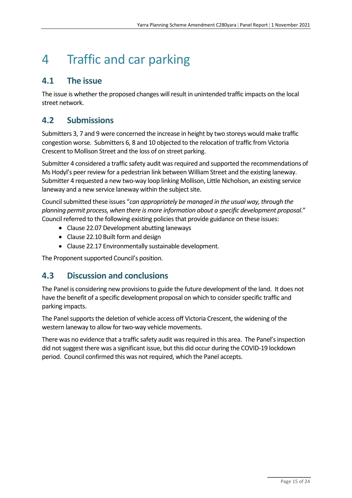## 4 Traffic and car parking

### **4.1 The issue**

The issue is whether the proposed changes will result in unintended traffic impacts on the local street network.

### **4.2 Submissions**

Submitters 3, 7 and 9 were concerned the increase in height by two storeys would make traffic congestion worse. Submitters 6, 8 and 10 objected to the relocation of traffic from Victoria Crescent to Mollison Street and the loss of on street parking.

Submitter 4 considered a traffic safety audit was required and supported the recommendations of Ms Hodyl's peer review for a pedestrian link between William Street and the existing laneway. Submitter 4 requested a new two-way loop linking Mollison, Little Nicholson, an existing service laneway and a new service laneway within the subject site.

Council submitted these issues "*can appropriately be managed in the usual way, through the planning permit process, when there is more information about a specific development proposal*." Council referred to the following existing policiesthat provide guidance on these issues:

- Clause 22.07 Development abutting laneways
- Clause 22.10 Built form and design
- Clause 22.17 Environmentally sustainable development.

The Proponent supported Council's position.

## **4.3 Discussion and conclusions**

The Panel is considering new provisions to guide the future development of the land. It does not have the benefit of a specific development proposal on which to consider specific traffic and parking impacts.

The Panel supports the deletion of vehicle access off Victoria Crescent, the widening of the western laneway to allow for two-way vehicle movements.

There was no evidence that a traffic safety audit was required in this area. The Panel's inspection did not suggest there was a significant issue, but this did occur during the COVID-19 lockdown period. Council confirmed this was not required, which the Panel accepts.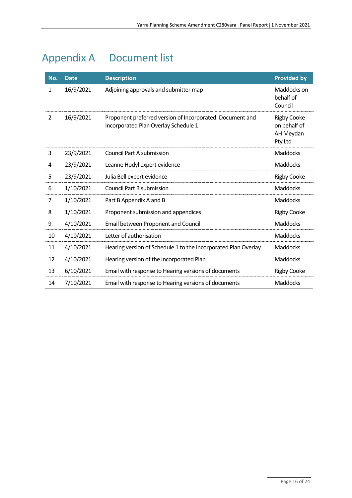## <span id="page-23-0"></span>Appendix A Document list

| No.            | <b>Date</b> | <b>Description</b>                                                                                | <b>Provided by</b>                                         |
|----------------|-------------|---------------------------------------------------------------------------------------------------|------------------------------------------------------------|
| 1              | 16/9/2021   | Adjoining approvals and submitter map                                                             | Maddocks on<br>behalf of<br>Council                        |
| $\overline{2}$ | 16/9/2021   | Proponent preferred version of Incorporated. Document and<br>Incorporated Plan Overlay Schedule 1 | <b>Rigby Cooke</b><br>on behalf of<br>AH Meydan<br>Pty Ltd |
| 3              | 23/9/2021   | Council Part A submission                                                                         | <b>Maddocks</b>                                            |
| 4              | 23/9/2021   | Leanne Hodyl expert evidence                                                                      | <b>Maddocks</b>                                            |
| 5              | 23/9/2021   | Julia Bell expert evidence                                                                        | <b>Rigby Cooke</b>                                         |
| 6              | 1/10/2021   | <b>Council Part B submission</b>                                                                  | Maddocks                                                   |
| $\overline{7}$ | 1/10/2021   | Part B Appendix A and B                                                                           | <b>Maddocks</b>                                            |
| 8              | 1/10/2021   | Proponent submission and appendices                                                               | <b>Rigby Cooke</b>                                         |
| 9              | 4/10/2021   | Email between Proponent and Council                                                               | <b>Maddocks</b>                                            |
| 10             | 4/10/2021   | Letter of authorisation                                                                           | <b>Maddocks</b>                                            |
| 11             | 4/10/2021   | Hearing version of Schedule 1 to the Incorporated Plan Overlay                                    | <b>Maddocks</b>                                            |
| 12             | 4/10/2021   | Hearing version of the Incorporated Plan                                                          | <b>Maddocks</b>                                            |
| 13             | 6/10/2021   | Email with response to Hearing versions of documents                                              | <b>Rigby Cooke</b>                                         |
| 14             | 7/10/2021   | Email with response to Hearing versions of documents                                              | <b>Maddocks</b>                                            |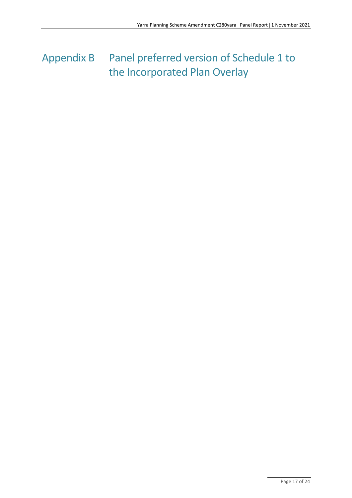## <span id="page-24-0"></span>Appendix B Panel preferred version of Schedule 1 to the Incorporated Plan Overlay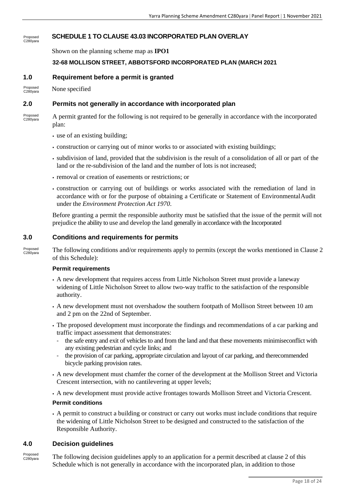#### **SCHEDULE 1 TO CLAUSE 43.03 INCORPORATED PLAN OVERLAY** Proposed C280yara

Shown on the planning scheme map as **IPO1**

#### **32-68 MOLLISON STREET, ABBOTSFORD INCORPORATED PLAN (MARCH 2021**

#### **1.0 Requirement before a permit is granted**

None specified Proposed C280yara

#### **2.0 Permits not generally in accordance with incorporated plan**

A permit granted for the following is not required to be generally in accordance with the incorporated plan: Proposed C280yara

- use of an existing building;
- construction or carrying out of minor works to or associated with existing buildings;
- subdivision of land, provided that the subdivision is the result of a consolidation of all or part of the land or the re-subdivision of the land and the number of lots is not increased;
- removal or creation of easements or restrictions; or
- construction or carrying out of buildings or works associated with the remediation of land in accordance with or for the purpose of obtaining a Certificate or Statement of EnvironmentalAudit under the *Environment Protection Act 1970*.

Before granting a permit the responsible authority must be satisfied that the issue of the permit will not prejudice the ability to use and develop the land generally in accordance with the Incorporated

#### **3.0 Conditions and requirements for permits**

The following conditions and/or requirements apply to permits (except the works mentioned in Clause 2 of this Schedule): Proposed C280yara

#### **Permit requirements**

- A new development that requires access from Little Nicholson Street must provide a laneway widening of Little Nicholson Street to allow two-way traffic to the satisfaction of the responsible authority.
- A new development must not overshadow the southern footpath of Mollison Street between 10 am and 2 pm on the 22nd of September.
- The proposed development must incorporate the findings and recommendations of a car parking and traffic impact assessment that demonstrates:
	- the safe entry and exit of vehicles to and from the land and that these movements minimiseconflict with any existing pedestrian and cycle links; and
	- the provision of car parking, appropriate circulation and layout of car parking, and therecommended bicycle parking provision rates.
- A new development must chamfer the corner of the development at the Mollison Street and Victoria Crescent intersection, with no cantilevering at upper levels;
- A new development must provide active frontages towards Mollison Street and Victoria Crescent.

#### **Permit conditions**

▪ A permit to construct a building or construct or carry out works must include conditions that require the widening of Little Nicholson Street to be designed and constructed to the satisfaction of the Responsible Authority.

#### **4.0 Decision guidelines**

The following decision guidelines apply to an application for a permit described at clause 2 of this Schedule which is not generally in accordance with the incorporated plan, in addition to those Proposed C280yara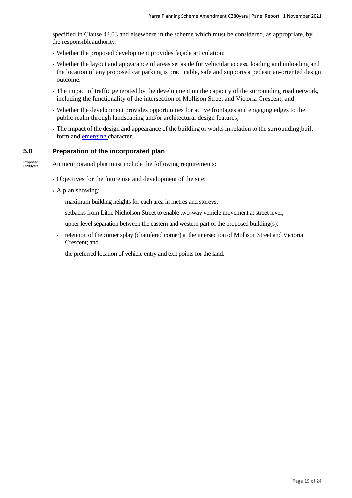specified in Clause 43.03 and elsewhere in the scheme which must be considered, as appropriate, by the responsibleauthority:

- Whether the proposed development provides façade articulation;
- Whether the layout and appearance of areas set aside for vehicular access, loading and unloading and the location of any proposed car parking is practicable, safe and supports a pedestrian-oriented design outcome.
- The impact of traffic generated by the development on the capacity of the surrounding road network, including the functionality of the intersection of Mollison Street and Victoria Crescent; and
- Whether the development provides opportunities for active frontages and engaging edges to the public realm through landscaping and/or architectural design features;
- The impact of the design and appearance of the building or works in relation to the surrounding built form and emerging character.

#### **5.0 Preparation of the incorporated plan**

An incorporated plan must include the following requirements: Proposed C280yara

- Objectives for the future use and development of the site;
- A plan showing:
	- maximum building heights for each area in metres and storeys;
	- setbacks from Little Nicholson Street to enable two-way vehicle movement at street level;
	- upper level separation between the eastern and western part of the proposed building(s);
	- retention of the corner splay (chamfered corner) at the intersection of Mollison Street and Victoria Crescent; and
	- the preferred location of vehicle entry and exit points for the land.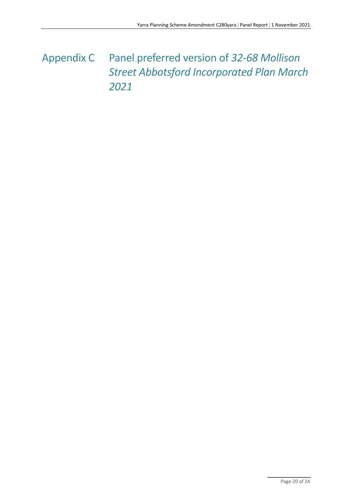## <span id="page-27-0"></span>Appendix C Panel preferred version of *32-68 Mollison Street Abbotsford Incorporated Plan March 2021*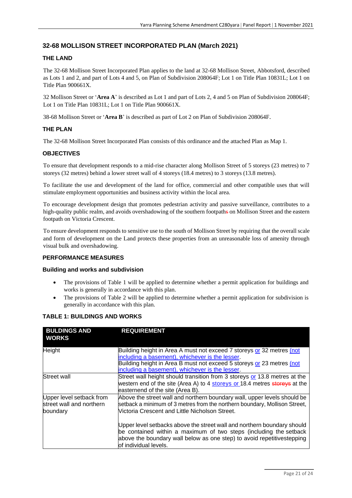#### **32-68 MOLLISON STREET INCORPORATED PLAN (March 2021)**

#### **THE LAND**

The 32-68 Mollison Street Incorporated Plan applies to the land at 32-68 Mollison Street, Abbotsford, described as Lots 1 and 2, and part of Lots 4 and 5, on Plan of Subdivision 208064F; Lot 1 on Title Plan 10831L; Lot 1 on Title Plan 900661X.

32 Mollison Street or '**Area A**' is described as Lot 1 and part of Lots 2, 4 and 5 on Plan of Subdivision 208064F; Lot 1 on Title Plan 10831L; Lot 1 on Title Plan 900661X.

38-68 Mollison Street or '**Area B**' is described as part of Lot 2 on Plan of Subdivision 208064F.

#### **THE PLAN**

The 32-68 Mollison Street Incorporated Plan consists of this ordinance and the attached Plan as Map 1.

#### **OBJECTIVES**

To ensure that development responds to a mid-rise character along Mollison Street of 5 storeys (23 metres) to 7 storeys (32 metres) behind a lower street wall of 4 storeys (18.4 metres) to 3 storeys (13.8 metres).

To facilitate the use and development of the land for office, commercial and other compatible uses that will stimulate employment opportunities and business activity within the local area.

To encourage development design that promotes pedestrian activity and passive surveillance, contributes to a high-quality public realm, and avoids overshadowing of the southern footpaths on Mollison Street and the eastern footpath on Victoria Crescent.

To ensure development responds to sensitive use to the south of Mollison Street by requiring that the overall scale and form of development on the Land protects these properties from an unreasonable loss of amenity through visual bulk and overshadowing.

#### **PERFORMANCE MEASURES**

#### **Building and works and subdivision**

- The provisions of Table 1 will be applied to determine whether a permit application for buildings and works is generally in accordance with this plan.
- The provisions of Table 2 will be applied to determine whether a permit application for subdivision is generally in accordance with this plan.

#### **TABLE 1: BUILDINGS AND WORKS**

| <b>BULDINGS AND</b><br><b>WORKS</b>                              | <b>REQUIREMENT</b>                                                                                                                                                                                                                                   |
|------------------------------------------------------------------|------------------------------------------------------------------------------------------------------------------------------------------------------------------------------------------------------------------------------------------------------|
| Height                                                           | Building height in Area A must not exceed 7 storeys or 32 metres (not<br>including a basement), whichever is the lesser.<br>Building height in Area B must not exceed 5 storeys or 23 metres (not<br>including a basement), whichever is the lesser. |
| <b>Street wall</b>                                               | Street wall height should transition from 3 storeys or 13.8 metres at the<br>western end of the site (Area A) to 4 storeys or 18.4 metres storeys at the<br>easternend of the site (Area B).                                                         |
| Upper level setback from<br>street wall and northern<br>boundary | Above the street wall and northern boundary wall, upper levels should be<br>setback a minimum of 3 metres from the northern boundary, Mollison Street,<br>Victoria Crescent and Little Nicholson Street.                                             |
|                                                                  | Upper level setbacks above the street wall and northern boundary should<br>be contained within a maximum of two steps (including the setback<br>above the boundary wall below as one step) to avoid repetitivestepping<br>of individual levels.      |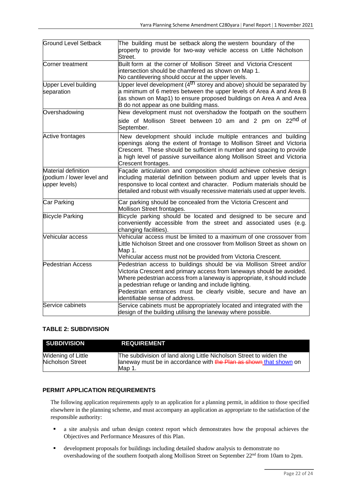| <b>Ground Level Setback</b>                                       | The building must be setback along the western boundary of the<br>property to provide for two-way vehicle access on Little Nicholson<br>Street.                                                                                                                                                                                                                                        |  |
|-------------------------------------------------------------------|----------------------------------------------------------------------------------------------------------------------------------------------------------------------------------------------------------------------------------------------------------------------------------------------------------------------------------------------------------------------------------------|--|
| Corner treatment                                                  | Built form at the corner of Mollison Street and Victoria Crescent<br>intersection should be chamfered as shown on Map 1.<br>No cantilevering should occur at the upper levels.                                                                                                                                                                                                         |  |
| <b>Upper Level building</b><br>separation                         | Upper level development (4 <sup>th</sup> storey and above) should be separated by<br>a minimum of 6 metres between the upper levels of Area A and Area B<br>(as shown on Map1) to ensure proposed buildings on Area A and Area<br>B do not appear as one building mass.                                                                                                                |  |
| Overshadowing                                                     | New development must not overshadow the footpath on the southern<br>side of Mollison Street between 10 am and 2 pm on 22 <sup>nd</sup> of<br>September.                                                                                                                                                                                                                                |  |
| Active frontages                                                  | New development should include multiple entrances and building<br>openings along the extent of frontage to Mollison Street and Victoria<br>Crescent. These should be sufficient in number and spacing to provide<br>a high level of passive surveillance along Mollison Street and Victoria<br>Crescent frontages.                                                                     |  |
| Material definition<br>(podium / lower level and<br>upper levels) | Façade articulation and composition should achieve cohesive design<br>including material definition between podium and upper levels that is<br>responsive to local context and character. Podium materials should be<br>detailed and robust with visually recessive materials used at upper levels.                                                                                    |  |
| Car Parking                                                       | Car parking should be concealed from the Victoria Crescent and<br>Mollison Street frontages.                                                                                                                                                                                                                                                                                           |  |
| <b>Bicycle Parking</b>                                            | Bicycle parking should be located and designed to be secure and<br>conveniently accessible from the street and associated uses (e.g.<br>changing facilities).                                                                                                                                                                                                                          |  |
| Vehicular access                                                  | Vehicular access must be limited to a maximum of one crossover from<br>Little Nicholson Street and one crossover from Mollison Street as shown on<br>Map 1.<br>Vehicular access must not be provided from Victoria Crescent.                                                                                                                                                           |  |
| <b>Pedestrian Access</b>                                          | Pedestrian access to buildings should be via Mollison Street and/or<br>Victoria Crescent and primary access from laneways should be avoided.<br>Where pedestrian access from a laneway is appropriate, it should include<br>a pedestrian refuge or landing and include lighting.<br>Pedestrian entrances must be clearly visible, secure and have an<br>identifiable sense of address. |  |
| Service cabinets                                                  | Service cabinets must be appropriately located and integrated with the<br>design of the building utilising the laneway where possible.                                                                                                                                                                                                                                                 |  |

#### **TABLE 2: SUBDIVISION**

| <b>SUBDIVISION</b>                     | <b>REQUIREMENT</b>                                                                                                                                 |
|----------------------------------------|----------------------------------------------------------------------------------------------------------------------------------------------------|
| Widening of Little<br>Nicholson Street | The subdivision of land along Little Nicholson Street to widen the<br>laneway must be in accordance with the Plan as shown that shown on<br>Map 1. |

#### **PERMIT APPLICATION REQUIREMENTS**

The following application requirements apply to an application for a planning permit, in addition to those specified elsewhere in the planning scheme, and must accompany an application as appropriate to the satisfaction of the responsible authority:

- a site analysis and urban design context report which demonstrates how the proposal achieves the Objectives and Performance Measures of this Plan.
- development proposals for buildings including detailed shadow analysis to demonstrate no overshadowing of the southern footpath along Mollison Street on September 22nd from 10am to 2pm.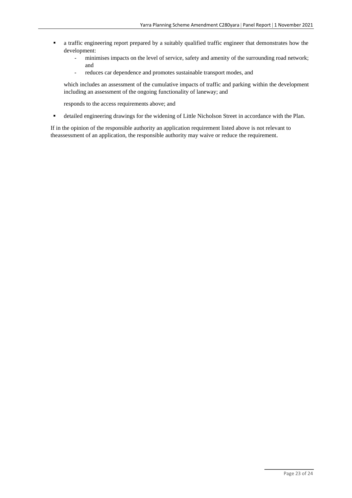- **•** a traffic engineering report prepared by a suitably qualified traffic engineer that demonstrates how the development:
	- minimises impacts on the level of service, safety and amenity of the surrounding road network; and
	- reduces car dependence and promotes sustainable transport modes, and

which includes an assessment of the cumulative impacts of traffic and parking within the development including an assessment of the ongoing functionality of laneway; and

responds to the access requirements above; and

▪ detailed engineering drawings for the widening of Little Nicholson Street in accordance with the Plan.

If in the opinion of the responsible authority an application requirement listed above is not relevant to theassessment of an application, the responsible authority may waive or reduce the requirement.